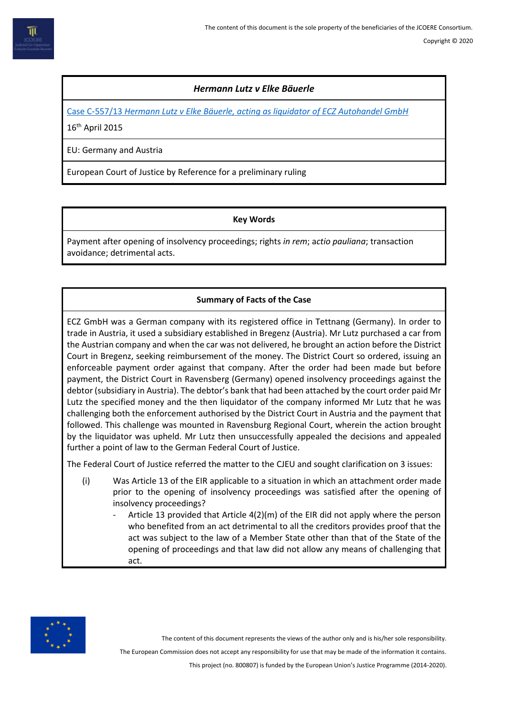# *Hermann Lutz v Elke Bäuerle*

Case C‑557/13 *[Hermann Lutz v Elke Bäuerle, acting as liquidator](http://curia.europa.eu/juris/document/document.jsf;jsessionid=BF0A22AEF70370C10F174F431B87C339?text=&docid=163721&pageIndex=0&doclang=en&mode=lst&dir=&occ=first&part=1&cid=7741264) of ECZ Autohandel GmbH*

16th April 2015

EU: Germany and Austria

European Court of Justice by Reference for a preliminary ruling

### **Key Words**

Payment after opening of insolvency proceedings; rights *in rem*; a*ctio pauliana*; transaction avoidance; detrimental acts.

# **Summary of Facts of the Case**

ECZ GmbH was a German company with its registered office in Tettnang (Germany). In order to trade in Austria, it used a subsidiary established in Bregenz (Austria). Mr Lutz purchased a car from the Austrian company and when the car was not delivered, he brought an action before the District Court in Bregenz, seeking reimbursement of the money. The District Court so ordered, issuing an enforceable payment order against that company. After the order had been made but before payment, the District Court in Ravensberg (Germany) opened insolvency proceedings against the debtor (subsidiary in Austria). The debtor's bank that had been attached by the court order paid Mr Lutz the specified money and the then liquidator of the company informed Mr Lutz that he was challenging both the enforcement authorised by the District Court in Austria and the payment that followed. This challenge was mounted in Ravensburg Regional Court, wherein the action brought by the liquidator was upheld. Mr Lutz then unsuccessfully appealed the decisions and appealed further a point of law to the German Federal Court of Justice.

The Federal Court of Justice referred the matter to the CJEU and sought clarification on 3 issues:

- (i) Was Article 13 of the EIR applicable to a situation in which an attachment order made prior to the opening of insolvency proceedings was satisfied after the opening of insolvency proceedings?
	- Article 13 provided that Article  $4(2)(m)$  of the EIR did not apply where the person who benefited from an act detrimental to all the creditors provides proof that the act was subject to the law of a Member State other than that of the State of the opening of proceedings and that law did not allow any means of challenging that act.



The content of this document represents the views of the author only and is his/her sole responsibility.

The European Commission does not accept any responsibility for use that may be made of the information it contains.

This project (no. 800807) is funded by the European Union's Justice Programme (2014-2020).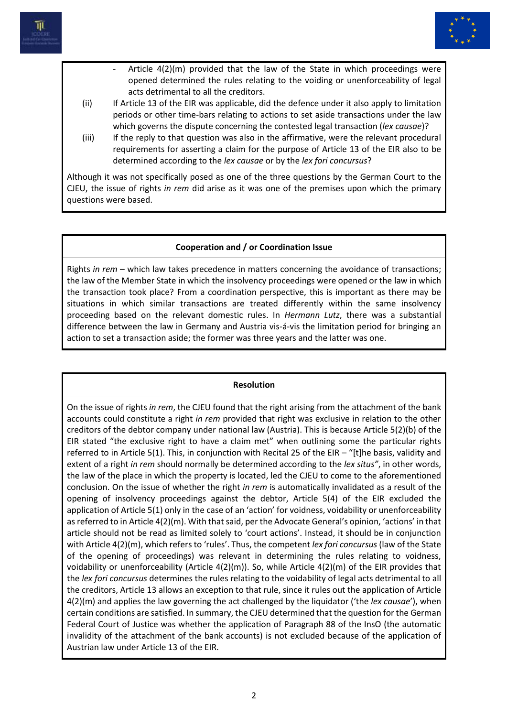



- Article  $4(2)(m)$  provided that the law of the State in which proceedings were opened determined the rules relating to the voiding or unenforceability of legal acts detrimental to all the creditors.
- (ii) If Article 13 of the EIR was applicable, did the defence under it also apply to limitation periods or other time-bars relating to actions to set aside transactions under the law which governs the dispute concerning the contested legal transaction (*lex causae*)?
- (iii) If the reply to that question was also in the affirmative, were the relevant procedural requirements for asserting a claim for the purpose of Article 13 of the EIR also to be determined according to the *lex causae* or by the *lex fori concursus*?

Although it was not specifically posed as one of the three questions by the German Court to the CJEU, the issue of rights *in rem* did arise as it was one of the premises upon which the primary questions were based.

### **Cooperation and / or Coordination Issue**

Rights *in rem* – which law takes precedence in matters concerning the avoidance of transactions; the law of the Member State in which the insolvency proceedings were opened or the law in which the transaction took place? From a coordination perspective, this is important as there may be situations in which similar transactions are treated differently within the same insolvency proceeding based on the relevant domestic rules. In *Hermann Lutz*, there was a substantial difference between the law in Germany and Austria vis-á-vis the limitation period for bringing an action to set a transaction aside; the former was three years and the latter was one.

#### **Resolution**

On the issue of rights *in rem*, the CJEU found that the right arising from the attachment of the bank accounts could constitute a right *in rem* provided that right was exclusive in relation to the other creditors of the debtor company under national law (Austria). This is because Article 5(2)(b) of the EIR stated "the exclusive right to have a claim met" when outlining some the particular rights referred to in Article 5(1). This, in conjunction with Recital 25 of the EIR – "[t]he basis, validity and extent of a right *in rem* should normally be determined according to the *lex situs"*, in other words, the law of the place in which the property is located, led the CJEU to come to the aforementioned conclusion. On the issue of whether the right *in rem* is automatically invalidated as a result of the opening of insolvency proceedings against the debtor, Article 5(4) of the EIR excluded the application of Article 5(1) only in the case of an 'action' for voidness, voidability or unenforceability as referred to in Article 4(2)(m). With that said, per the Advocate General's opinion, 'actions' in that article should not be read as limited solely to 'court actions'. Instead, it should be in conjunction with Article 4(2)(m), which refers to 'rules'. Thus, the competent *lex fori concursus* (law of the State of the opening of proceedings) was relevant in determining the rules relating to voidness, voidability or unenforceability (Article 4(2)(m)). So, while Article 4(2)(m) of the EIR provides that the *lex fori concursus* determines the rules relating to the voidability of legal acts detrimental to all the creditors, Article 13 allows an exception to that rule, since it rules out the application of Article 4(2)(m) and applies the law governing the act challenged by the liquidator ('the *lex causae*'), when certain conditions are satisfied. In summary, the CJEU determined that the question for the German Federal Court of Justice was whether the application of Paragraph 88 of the InsO (the automatic invalidity of the attachment of the bank accounts) is not excluded because of the application of Austrian law under Article 13 of the EIR.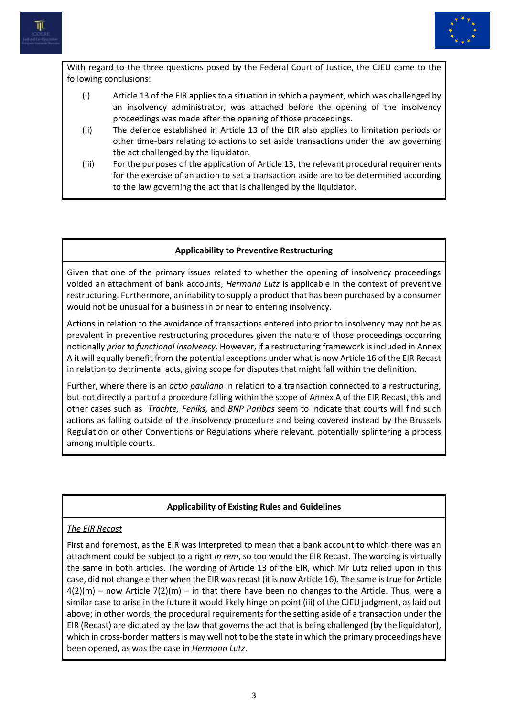



With regard to the three questions posed by the Federal Court of Justice, the CJEU came to the following conclusions:

- (i) Article 13 of the EIR applies to a situation in which a payment, which was challenged by an insolvency administrator, was attached before the opening of the insolvency proceedings was made after the opening of those proceedings.
- (ii) The defence established in Article 13 of the EIR also applies to limitation periods or other time-bars relating to actions to set aside transactions under the law governing the act challenged by the liquidator.
- (iii) For the purposes of the application of Article 13, the relevant procedural requirements for the exercise of an action to set a transaction aside are to be determined according to the law governing the act that is challenged by the liquidator.

### **Applicability to Preventive Restructuring**

Given that one of the primary issues related to whether the opening of insolvency proceedings voided an attachment of bank accounts, *Hermann Lutz* is applicable in the context of preventive restructuring. Furthermore, an inability to supply a product that has been purchased by a consumer would not be unusual for a business in or near to entering insolvency.

Actions in relation to the avoidance of transactions entered into prior to insolvency may not be as prevalent in preventive restructuring procedures given the nature of those proceedings occurring notionally *prior to functional insolvency.* However, if a restructuring framework is included in Annex A it will equally benefit from the potential exceptions under what is now Article 16 of the EIR Recast in relation to detrimental acts, giving scope for disputes that might fall within the definition.

Further, where there is an *actio pauliana* in relation to a transaction connected to a restructuring, but not directly a part of a procedure falling within the scope of Annex A of the EIR Recast, this and other cases such as *Trachte, Feniks,* and *BNP Paribas* seem to indicate that courts will find such actions as falling outside of the insolvency procedure and being covered instead by the Brussels Regulation or other Conventions or Regulations where relevant, potentially splintering a process among multiple courts.

# **Applicability of Existing Rules and Guidelines**

# *The EIR Recast*

First and foremost, as the EIR was interpreted to mean that a bank account to which there was an attachment could be subject to a right *in rem*, so too would the EIR Recast. The wording is virtually the same in both articles. The wording of Article 13 of the EIR, which Mr Lutz relied upon in this case, did not change either when the EIR was recast (it is now Article 16). The same is true for Article  $4(2)(m)$  – now Article 7(2)(m) – in that there have been no changes to the Article. Thus, were a similar case to arise in the future it would likely hinge on point (iii) of the CJEU judgment, as laid out above; in other words, the procedural requirements for the setting aside of a transaction under the EIR (Recast) are dictated by the law that governs the act that is being challenged (by the liquidator), which in cross-border matters is may well not to be the state in which the primary proceedings have been opened, as was the case in *Hermann Lutz*.